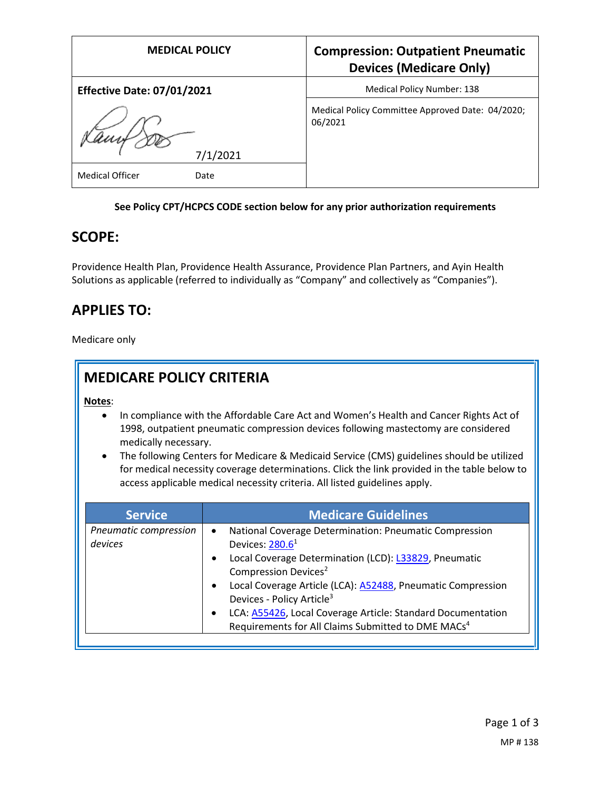| <b>MEDICAL POLICY</b>             | <b>Compression: Outpatient Pneumatic</b><br><b>Devices (Medicare Only)</b> |
|-----------------------------------|----------------------------------------------------------------------------|
| <b>Effective Date: 07/01/2021</b> | <b>Medical Policy Number: 138</b>                                          |
| 7/1/2021                          | Medical Policy Committee Approved Date: 04/2020;<br>06/2021                |
| <b>Medical Officer</b><br>Date    |                                                                            |

#### **See Policy CPT/HCPCS CODE section below for any prior authorization requirements**

### **SCOPE:**

Providence Health Plan, Providence Health Assurance, Providence Plan Partners, and Ayin Health Solutions as applicable (referred to individually as "Company" and collectively as "Companies").

## **APPLIES TO:**

Medicare only

| <b>MEDICARE POLICY CRITERIA</b>                                                                                                                                                                                                                                                                                                                                                                                                                                                           |                                                                                                                                                                                                                                                                                                                      |
|-------------------------------------------------------------------------------------------------------------------------------------------------------------------------------------------------------------------------------------------------------------------------------------------------------------------------------------------------------------------------------------------------------------------------------------------------------------------------------------------|----------------------------------------------------------------------------------------------------------------------------------------------------------------------------------------------------------------------------------------------------------------------------------------------------------------------|
| Notes:<br>In compliance with the Affordable Care Act and Women's Health and Cancer Rights Act of<br>1998, outpatient pneumatic compression devices following mastectomy are considered<br>medically necessary.<br>The following Centers for Medicare & Medicaid Service (CMS) guidelines should be utilized<br>for medical necessity coverage determinations. Click the link provided in the table below to<br>access applicable medical necessity criteria. All listed guidelines apply. |                                                                                                                                                                                                                                                                                                                      |
| <b>Service</b>                                                                                                                                                                                                                                                                                                                                                                                                                                                                            | <b>Medicare Guidelines</b>                                                                                                                                                                                                                                                                                           |
| Pneumatic compression<br>devices                                                                                                                                                                                                                                                                                                                                                                                                                                                          | National Coverage Determination: Pneumatic Compression<br>$\bullet$<br>Devices: 280.6 <sup>1</sup><br>Local Coverage Determination (LCD): L33829, Pneumatic<br>Compression Devices <sup>2</sup><br>Local Coverage Article (LCA): A52488, Pneumatic Compression<br>$\bullet$<br>Devices - Policy Article <sup>3</sup> |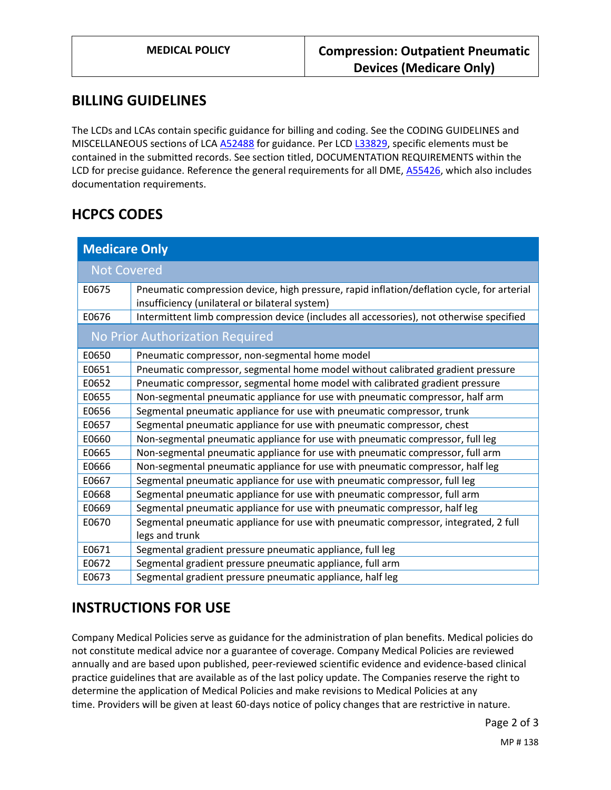### **BILLING GUIDELINES**

The LCDs and LCAs contain specific guidance for billing and coding. See the CODING GUIDELINES and MISCELLANEOUS sections of LC[A A52488](https://www.cms.gov/medicare-coverage-database/details/article-details.aspx?articleId=52488) for guidance. Per LC[D L33829,](https://www.cms.gov/medicare-coverage-database/details/lcd-details.aspx?LCDId=33829) specific elements must be contained in the submitted records. See section titled, DOCUMENTATION REQUIREMENTS within the LCD for precise guidance. Reference the general requirements for all DME, [A55426,](https://www.cms.gov/medicare-coverage-database/details/article-details.aspx?articleId=55426) which also includes documentation requirements.

## **HCPCS CODES**

| <b>Medicare Only</b>            |                                                                                                                                              |  |
|---------------------------------|----------------------------------------------------------------------------------------------------------------------------------------------|--|
| <b>Not Covered</b>              |                                                                                                                                              |  |
| E0675                           | Pneumatic compression device, high pressure, rapid inflation/deflation cycle, for arterial<br>insufficiency (unilateral or bilateral system) |  |
| E0676                           | Intermittent limb compression device (includes all accessories), not otherwise specified                                                     |  |
| No Prior Authorization Required |                                                                                                                                              |  |
| E0650                           | Pneumatic compressor, non-segmental home model                                                                                               |  |
| E0651                           | Pneumatic compressor, segmental home model without calibrated gradient pressure                                                              |  |
| E0652                           | Pneumatic compressor, segmental home model with calibrated gradient pressure                                                                 |  |
| E0655                           | Non-segmental pneumatic appliance for use with pneumatic compressor, half arm                                                                |  |
| E0656                           | Segmental pneumatic appliance for use with pneumatic compressor, trunk                                                                       |  |
| E0657                           | Segmental pneumatic appliance for use with pneumatic compressor, chest                                                                       |  |
| E0660                           | Non-segmental pneumatic appliance for use with pneumatic compressor, full leg                                                                |  |
| E0665                           | Non-segmental pneumatic appliance for use with pneumatic compressor, full arm                                                                |  |
| E0666                           | Non-segmental pneumatic appliance for use with pneumatic compressor, half leg                                                                |  |
| E0667                           | Segmental pneumatic appliance for use with pneumatic compressor, full leg                                                                    |  |
| E0668                           | Segmental pneumatic appliance for use with pneumatic compressor, full arm                                                                    |  |
| E0669                           | Segmental pneumatic appliance for use with pneumatic compressor, half leg                                                                    |  |
| E0670                           | Segmental pneumatic appliance for use with pneumatic compressor, integrated, 2 full<br>legs and trunk                                        |  |
| E0671                           | Segmental gradient pressure pneumatic appliance, full leg                                                                                    |  |
| E0672                           | Segmental gradient pressure pneumatic appliance, full arm                                                                                    |  |
| E0673                           | Segmental gradient pressure pneumatic appliance, half leg                                                                                    |  |

# **INSTRUCTIONS FOR USE**

Company Medical Policies serve as guidance for the administration of plan benefits. Medical policies do not constitute medical advice nor a guarantee of coverage. Company Medical Policies are reviewed annually and are based upon published, peer-reviewed scientific evidence and evidence-based clinical practice guidelines that are available as of the last policy update. The Companies reserve the right to determine the application of Medical Policies and make revisions to Medical Policies at any time. Providers will be given at least 60-days notice of policy changes that are restrictive in nature.